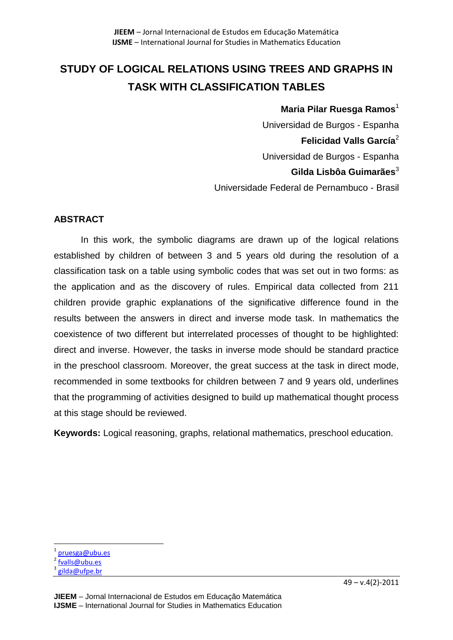# **STUDY OF LOGICAL RELATIONS USING TREES AND GRAPHS IN TASK WITH CLASSIFICATION TABLES**

## **Maria Pilar Ruesga Ramos**<sup>1</sup>

Universidad de Burgos - Espanha **Felicidad Valls García**<sup>2</sup> Universidad de Burgos - Espanha **Gilda Lisbôa Guimarães**<sup>3</sup> Universidade Federal de Pernambuco - Brasil

## **ABSTRACT**

In this work, the symbolic diagrams are drawn up of the logical relations established by children of between 3 and 5 years old during the resolution of a classification task on a table using symbolic codes that was set out in two forms: as the application and as the discovery of rules. Empirical data collected from 211 children provide graphic explanations of the significative difference found in the results between the answers in direct and inverse mode task. In mathematics the coexistence of two different but interrelated processes of thought to be highlighted: direct and inverse. However, the tasks in inverse mode should be standard practice in the preschool classroom. Moreover, the great success at the task in direct mode, recommended in some textbooks for children between 7 and 9 years old, underlines that the programming of activities designed to build up mathematical thought process at this stage should be reviewed.

**Keywords:** Logical reasoning, graphs, relational mathematics, preschool education.

 $\overline{\phantom{a}}$ 

<sup>1</sup> [pruesga@ubu.es](mailto:pruesga@ubu.es)

<sup>&</sup>lt;sup>2</sup> [fvalls@ubu.es](mailto:fvalls@ubu.es)

<sup>&</sup>lt;sup>3</sup> [gilda@ufpe.br](mailto:gilda@ufpe.br)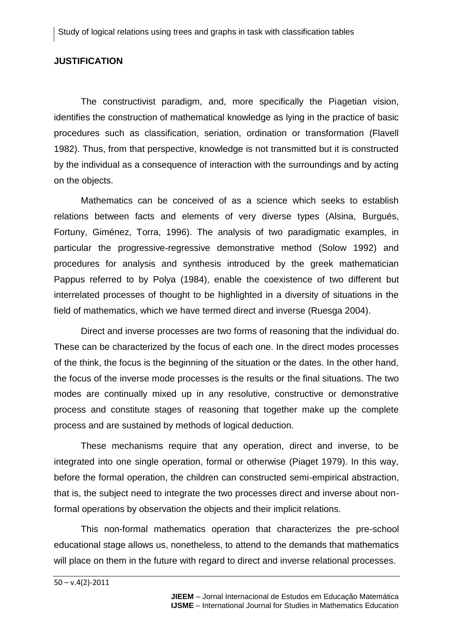## **JUSTIFICATION**

The constructivist paradigm, and, more specifically the Piagetian vision, identifies the construction of mathematical knowledge as lying in the practice of basic procedures such as classification, seriation, ordination or transformation (Flavell 1982). Thus, from that perspective, knowledge is not transmitted but it is constructed by the individual as a consequence of interaction with the surroundings and by acting on the objects.

Mathematics can be conceived of as a science which seeks to establish relations between facts and elements of very diverse types (Alsina, Burgués, Fortuny, Giménez, Torra, 1996). The analysis of two paradigmatic examples, in particular the progressive-regressive demonstrative method (Solow 1992) and procedures for analysis and synthesis introduced by the greek mathematician Pappus referred to by Polya (1984), enable the coexistence of two different but interrelated processes of thought to be highlighted in a diversity of situations in the field of mathematics, which we have termed direct and inverse (Ruesga 2004).

Direct and inverse processes are two forms of reasoning that the individual do. These can be characterized by the focus of each one. In the direct modes processes of the think, the focus is the beginning of the situation or the dates. In the other hand, the focus of the inverse mode processes is the results or the final situations. The two modes are continually mixed up in any resolutive, constructive or demonstrative process and constitute stages of reasoning that together make up the complete process and are sustained by methods of logical deduction.

These mechanisms require that any operation, direct and inverse, to be integrated into one single operation, formal or otherwise (Piaget 1979). In this way, before the formal operation, the children can constructed semi-empirical abstraction, that is, the subject need to integrate the two processes direct and inverse about nonformal operations by observation the objects and their implicit relations.

This non-formal mathematics operation that characterizes the pre-school educational stage allows us, nonetheless, to attend to the demands that mathematics will place on them in the future with regard to direct and inverse relational processes.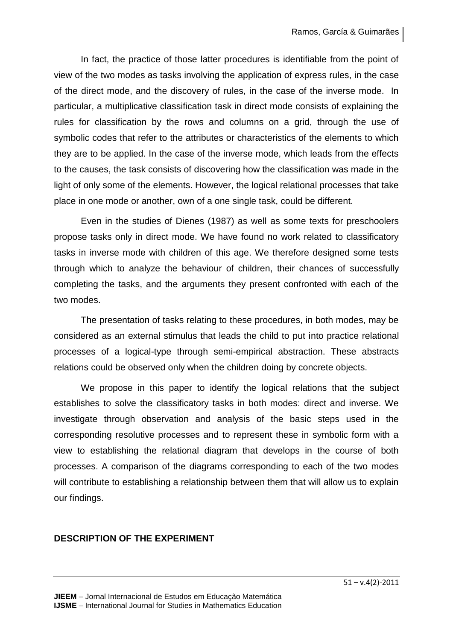In fact, the practice of those latter procedures is identifiable from the point of view of the two modes as tasks involving the application of express rules, in the case of the direct mode, and the discovery of rules, in the case of the inverse mode. In particular, a multiplicative classification task in direct mode consists of explaining the rules for classification by the rows and columns on a grid, through the use of symbolic codes that refer to the attributes or characteristics of the elements to which they are to be applied. In the case of the inverse mode, which leads from the effects to the causes, the task consists of discovering how the classification was made in the light of only some of the elements. However, the logical relational processes that take place in one mode or another, own of a one single task, could be different.

Even in the studies of Dienes (1987) as well as some texts for preschoolers propose tasks only in direct mode. We have found no work related to classificatory tasks in inverse mode with children of this age. We therefore designed some tests through which to analyze the behaviour of children, their chances of successfully completing the tasks, and the arguments they present confronted with each of the two modes.

The presentation of tasks relating to these procedures, in both modes, may be considered as an external stimulus that leads the child to put into practice relational processes of a logical-type through semi-empirical abstraction. These abstracts relations could be observed only when the children doing by concrete objects.

We propose in this paper to identify the logical relations that the subject establishes to solve the classificatory tasks in both modes: direct and inverse. We investigate through observation and analysis of the basic steps used in the corresponding resolutive processes and to represent these in symbolic form with a view to establishing the relational diagram that develops in the course of both processes. A comparison of the diagrams corresponding to each of the two modes will contribute to establishing a relationship between them that will allow us to explain our findings.

## **DESCRIPTION OF THE EXPERIMENT**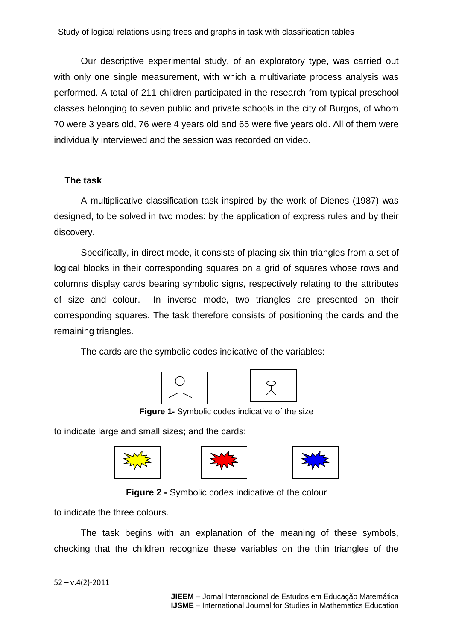Our descriptive experimental study, of an exploratory type, was carried out with only one single measurement, with which a multivariate process analysis was performed. A total of 211 children participated in the research from typical preschool classes belonging to seven public and private schools in the city of Burgos, of whom 70 were 3 years old, 76 were 4 years old and 65 were five years old. All of them were individually interviewed and the session was recorded on video.

## **The task**

A multiplicative classification task inspired by the work of Dienes (1987) was designed, to be solved in two modes: by the application of express rules and by their discovery.

Specifically, in direct mode, it consists of placing six thin triangles from a set of logical blocks in their corresponding squares on a grid of squares whose rows and columns display cards bearing symbolic signs, respectively relating to the attributes of size and colour. In inverse mode, two triangles are presented on their corresponding squares. The task therefore consists of positioning the cards and the remaining triangles.

The cards are the symbolic codes indicative of the variables:





**Figure 1-** Symbolic codes indicative of the size

to indicate large and small sizes; and the cards:







**Figure 2 -** Symbolic codes indicative of the colour

to indicate the three colours.

The task begins with an explanation of the meaning of these symbols, checking that the children recognize these variables on the thin triangles of the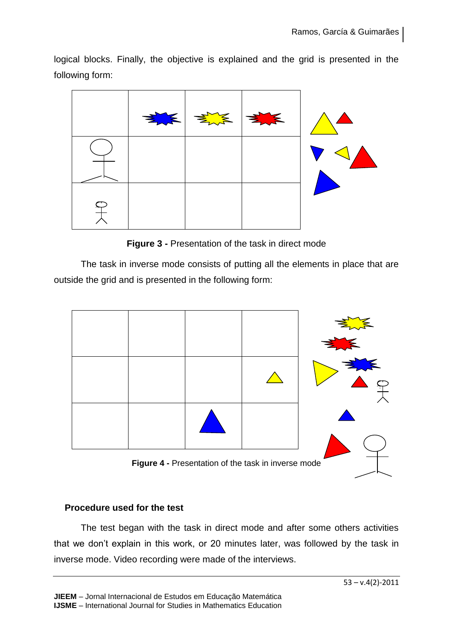logical blocks. Finally, the objective is explained and the grid is presented in the following form:



**Figure 3 -** Presentation of the task in direct mode

The task in inverse mode consists of putting all the elements in place that are outside the grid and is presented in the following form:



**Figure 4 -** Presentation of the task in inverse mode

## **Procedure used for the test**

The test began with the task in direct mode and after some others activities that we don't explain in this work, or 20 minutes later, was followed by the task in inverse mode. Video recording were made of the interviews.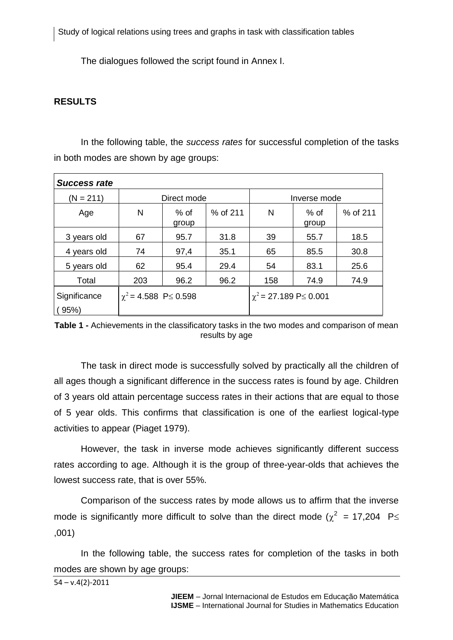Study of logical relations using trees and graphs in task with classification tables

The dialogues followed the script found in Annex I.

## **RESULTS**

In the following table, the *success rates* for successful completion of the tasks in both modes are shown by age groups:

| Direct mode |                 |                                 | Inverse mode |                 |                             |
|-------------|-----------------|---------------------------------|--------------|-----------------|-----------------------------|
| N           | $%$ of<br>group | % of 211                        | N            | $%$ of<br>group | % of 211                    |
| 67          | 95.7            | 31.8                            | 39           | 55.7            | 18.5                        |
| 74          | 97,4            | 35.1                            | 65           | 85.5            | 30.8                        |
| 62          | 95.4            | 29.4                            | 54           | 83.1            | 25.6                        |
| 203         | 96.2            | 96.2                            | 158          | 74.9            | 74.9                        |
|             |                 |                                 |              |                 |                             |
|             |                 | $\chi^2$ = 4.588 P $\leq$ 0.598 |              |                 | $\chi^2$ = 27.189 P 	 0.001 |

**Table 1 -** Achievements in the classificatory tasks in the two modes and comparison of mean results by age

The task in direct mode is successfully solved by practically all the children of all ages though a significant difference in the success rates is found by age. Children of 3 years old attain percentage success rates in their actions that are equal to those of 5 year olds. This confirms that classification is one of the earliest logical-type activities to appear (Piaget 1979).

However, the task in inverse mode achieves significantly different success rates according to age. Although it is the group of three-year-olds that achieves the lowest success rate, that is over 55%.

Comparison of the success rates by mode allows us to affirm that the inverse mode is significantly more difficult to solve than the direct mode ( $\chi^2$  = 17,204 P $\leq$ ,001)

In the following table, the success rates for completion of the tasks in both modes are shown by age groups:

54 – v.4(2)-2011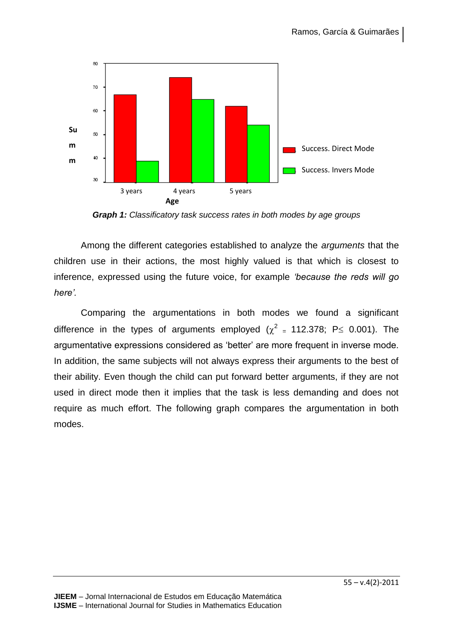

*Graph 1: Classificatory task success rates in both modes by age groups*

Among the different categories established to analyze the *arguments* that the children use in their actions, the most highly valued is that which is closest to inference, expressed using the future voice, for example *'because the reds will go here'.*

Comparing the argumentations in both modes we found a significant difference in the types of arguments employed ( $\chi^2$  = 112.378; P 
ig 0.001). The argumentative expressions considered as 'better' are more frequent in inverse mode. In addition, the same subjects will not always express their arguments to the best of their ability. Even though the child can put forward better arguments, if they are not used in direct mode then it implies that the task is less demanding and does not require as much effort. The following graph compares the argumentation in both modes.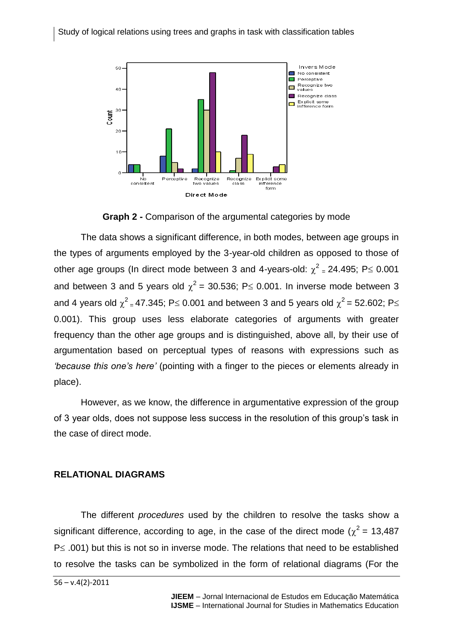

**Graph 2 -** Comparison of the argumental categories by mode

The data shows a significant difference, in both modes, between age groups in the types of arguments employed by the 3-year-old children as opposed to those of other age groups (In direct mode between 3 and 4-years-old:  $\chi^2$  = 24.495; P lexel 0.001 and between 3 and 5 years old  $\chi^2$  = 30.536; P o.001. In inverse mode between 3 and 4 years old  $\chi^2$  <sub>=</sub> 47.345; P≤ 0.001 and between 3 and 5 years old  $\chi^2$  = 52.602; P≤ 0.001). This group uses less elaborate categories of arguments with greater frequency than the other age groups and is distinguished, above all, by their use of argumentation based on perceptual types of reasons with expressions such as *'because this one's here'* (pointing with a finger to the pieces or elements already in place).

However, as we know, the difference in argumentative expression of the group of 3 year olds, does not suppose less success in the resolution of this group's task in the case of direct mode.

## **RELATIONAL DIAGRAMS**

The different *procedures* used by the children to resolve the tasks show a significant difference, according to age, in the case of the direct mode ( $\chi^2$  = 13,487  $P \leq .001$ ) but this is not so in inverse mode. The relations that need to be established to resolve the tasks can be symbolized in the form of relational diagrams (For the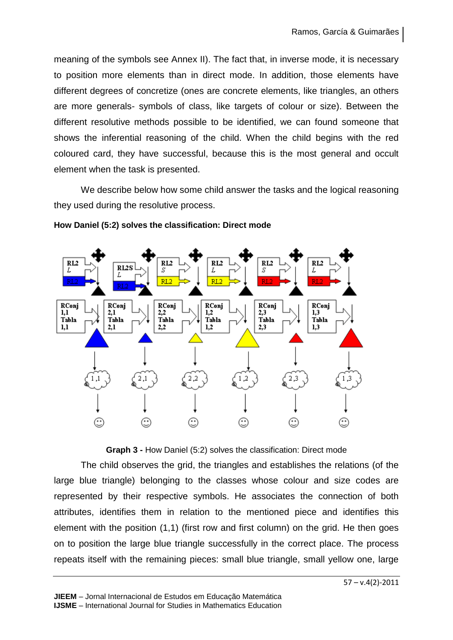meaning of the symbols see Annex II). The fact that, in inverse mode, it is necessary to position more elements than in direct mode. In addition, those elements have different degrees of concretize (ones are concrete elements, like triangles, an others are more generals- symbols of class, like targets of colour or size). Between the different resolutive methods possible to be identified, we can found someone that shows the inferential reasoning of the child. When the child begins with the red coloured card, they have successful, because this is the most general and occult element when the task is presented.

We describe below how some child answer the tasks and the logical reasoning they used during the resolutive process.



### **How Daniel (5:2) solves the classification: Direct mode**

**Graph 3 -** How Daniel (5:2) solves the classification: Direct mode

The child observes the grid, the triangles and establishes the relations (of the large blue triangle) belonging to the classes whose colour and size codes are represented by their respective symbols. He associates the connection of both attributes, identifies them in relation to the mentioned piece and identifies this element with the position (1,1) (first row and first column) on the grid. He then goes on to position the large blue triangle successfully in the correct place. The process repeats itself with the remaining pieces: small blue triangle, small yellow one, large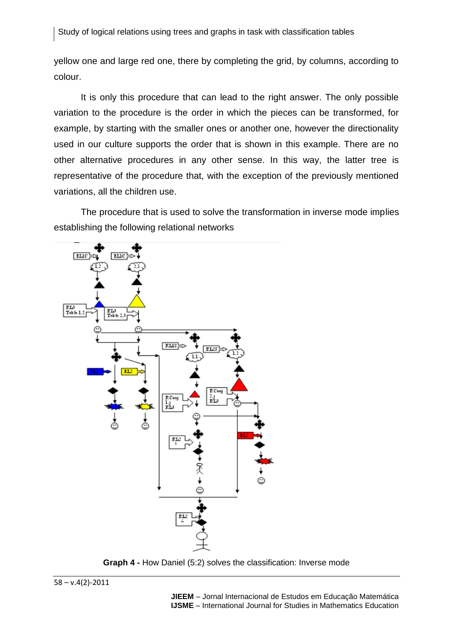yellow one and large red one, there by completing the grid, by columns, according to colour.

It is only this procedure that can lead to the right answer. The only possible variation to the procedure is the order in which the pieces can be transformed, for example, by starting with the smaller ones or another one, however the directionality used in our culture supports the order that is shown in this example. There are no other alternative procedures in any other sense. In this way, the latter tree is representative of the procedure that, with the exception of the previously mentioned variations, all the children use.

The procedure that is used to solve the transformation in inverse mode implies establishing the following relational networks



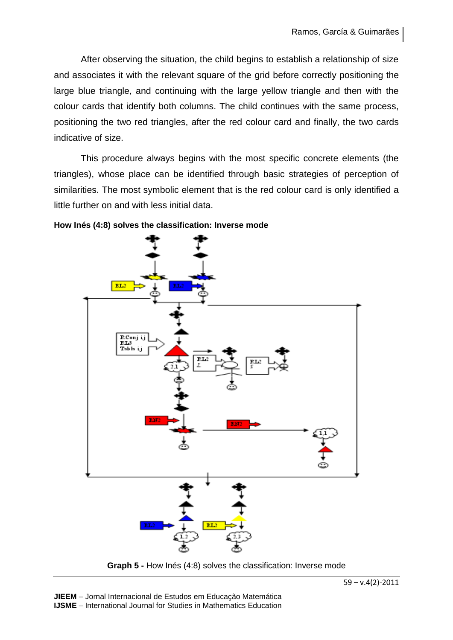After observing the situation, the child begins to establish a relationship of size and associates it with the relevant square of the grid before correctly positioning the large blue triangle, and continuing with the large yellow triangle and then with the colour cards that identify both columns. The child continues with the same process, positioning the two red triangles, after the red colour card and finally, the two cards indicative of size.

This procedure always begins with the most specific concrete elements (the triangles), whose place can be identified through basic strategies of perception of similarities. The most symbolic element that is the red colour card is only identified a little further on and with less initial data.



#### **How Inés (4:8) solves the classification: Inverse mode**

**Graph 5 -** How Inés (4:8) solves the classification: Inverse mode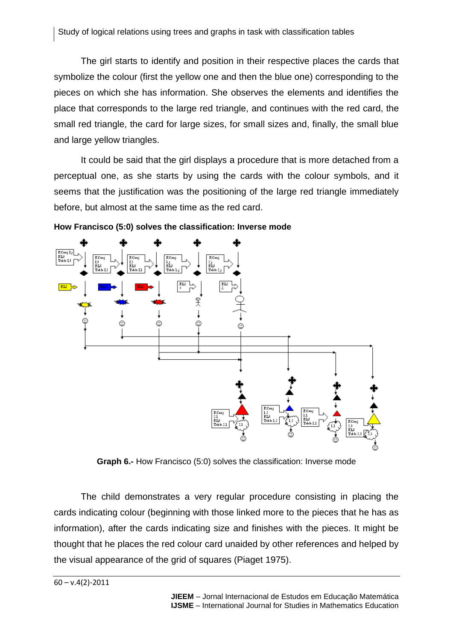The girl starts to identify and position in their respective places the cards that symbolize the colour (first the yellow one and then the blue one) corresponding to the pieces on which she has information. She observes the elements and identifies the place that corresponds to the large red triangle, and continues with the red card, the small red triangle, the card for large sizes, for small sizes and, finally, the small blue and large yellow triangles.

It could be said that the girl displays a procedure that is more detached from a perceptual one, as she starts by using the cards with the colour symbols, and it seems that the justification was the positioning of the large red triangle immediately before, but almost at the same time as the red card.



**How Francisco (5:0) solves the classification: Inverse mode**

**Graph 6.-** How Francisco (5:0) solves the classification: Inverse mode

The child demonstrates a very regular procedure consisting in placing the cards indicating colour (beginning with those linked more to the pieces that he has as information), after the cards indicating size and finishes with the pieces. It might be thought that he places the red colour card unaided by other references and helped by the visual appearance of the grid of squares (Piaget 1975).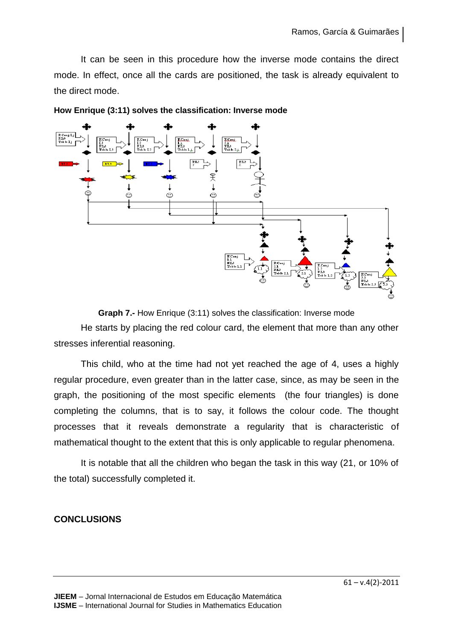It can be seen in this procedure how the inverse mode contains the direct mode. In effect, once all the cards are positioned, the task is already equivalent to the direct mode.



**How Enrique (3:11) solves the classification: Inverse mode**

**Graph 7.-** How Enrique (3:11) solves the classification: Inverse mode

He starts by placing the red colour card, the element that more than any other stresses inferential reasoning.

This child, who at the time had not yet reached the age of 4, uses a highly regular procedure, even greater than in the latter case, since, as may be seen in the graph, the positioning of the most specific elements (the four triangles) is done completing the columns, that is to say, it follows the colour code. The thought processes that it reveals demonstrate a regularity that is characteristic of mathematical thought to the extent that this is only applicable to regular phenomena.

It is notable that all the children who began the task in this way (21, or 10% of the total) successfully completed it.

## **CONCLUSIONS**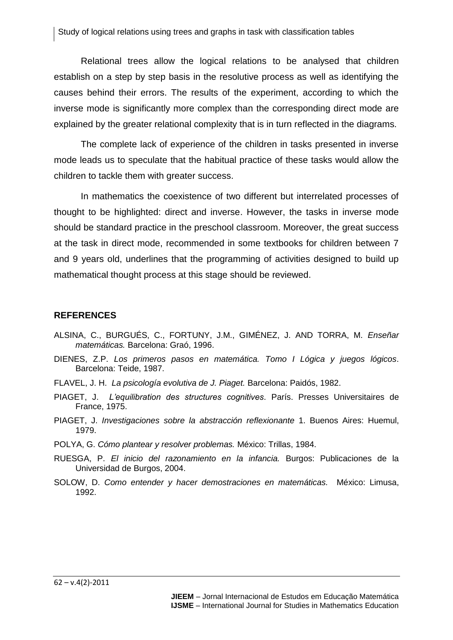Relational trees allow the logical relations to be analysed that children establish on a step by step basis in the resolutive process as well as identifying the causes behind their errors. The results of the experiment, according to which the inverse mode is significantly more complex than the corresponding direct mode are explained by the greater relational complexity that is in turn reflected in the diagrams.

The complete lack of experience of the children in tasks presented in inverse mode leads us to speculate that the habitual practice of these tasks would allow the children to tackle them with greater success.

In mathematics the coexistence of two different but interrelated processes of thought to be highlighted: direct and inverse. However, the tasks in inverse mode should be standard practice in the preschool classroom. Moreover, the great success at the task in direct mode, recommended in some textbooks for children between 7 and 9 years old, underlines that the programming of activities designed to build up mathematical thought process at this stage should be reviewed.

#### **REFERENCES**

- ALSINA, C., BURGUÉS, C., FORTUNY, J.M., GIMÉNEZ, J. AND TORRA, M. *Enseñar matemáticas.* Barcelona: Graó, 1996.
- DIENES, Z.P. *Los primeros pasos en matemática. Tomo I Lógica y juegos lógicos*. Barcelona: Teide, 1987.
- FLAVEL, J. H. *La psicología evolutiva de J. Piaget.* Barcelona: Paidós, 1982.
- PIAGET, J. *L'equilibration des structures cognitives*. París. Presses Universitaires de France, 1975.
- PIAGET, J. *Investigaciones sobre la abstracción reflexionante* 1. Buenos Aires: Huemul, 1979.
- POLYA, G. *Cómo plantear y resolver problemas.* México: Trillas, 1984.
- RUESGA, P. *El inicio del razonamiento en la infancia.* Burgos: Publicaciones de la Universidad de Burgos, 2004.
- SOLOW, D. *Como entender y hacer demostraciones en matemáticas.* México: Limusa, 1992.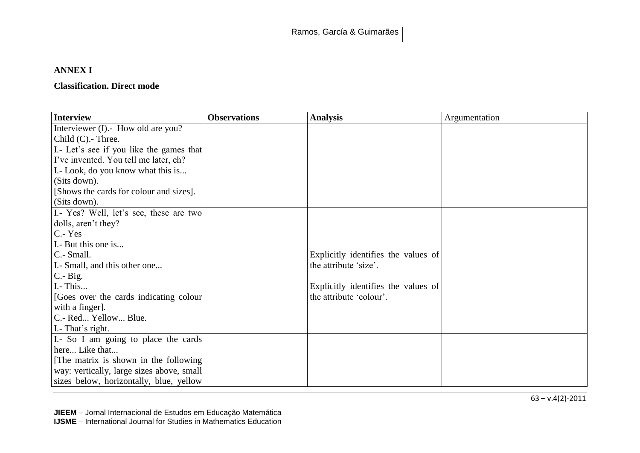## **ANNEX I**

## **Classification. Direct mode**

| <b>Interview</b>                          | <b>Observations</b> | <b>Analysis</b>                     | Argumentation |
|-------------------------------------------|---------------------|-------------------------------------|---------------|
| Interviewer (I).- How old are you?        |                     |                                     |               |
| Child $(C)$ . Three.                      |                     |                                     |               |
| I.- Let's see if you like the games that  |                     |                                     |               |
| I've invented. You tell me later, eh?     |                     |                                     |               |
| I. - Look, do you know what this is       |                     |                                     |               |
| (Sits down).                              |                     |                                     |               |
| [Shows the cards for colour and sizes].   |                     |                                     |               |
| (Sits down).                              |                     |                                     |               |
| I.- Yes? Well, let's see, these are two   |                     |                                     |               |
| dolls, aren't they?                       |                     |                                     |               |
| $C - Yes$                                 |                     |                                     |               |
| I. But this one is                        |                     |                                     |               |
| $C - Small.$                              |                     | Explicitly identifies the values of |               |
| I. Small, and this other one              |                     | the attribute 'size'.               |               |
| $C - Big.$                                |                     |                                     |               |
| I. - This                                 |                     | Explicitly identifies the values of |               |
| [Goes over the cards indicating colour]   |                     | the attribute 'colour'.             |               |
| with a finger.                            |                     |                                     |               |
| C.- Red Yellow Blue.                      |                     |                                     |               |
| I.- That's right.                         |                     |                                     |               |
| I.- So I am going to place the cards      |                     |                                     |               |
| here Like that                            |                     |                                     |               |
| [The matrix is shown in the following]    |                     |                                     |               |
| way: vertically, large sizes above, small |                     |                                     |               |
| sizes below, horizontally, blue, yellow   |                     |                                     |               |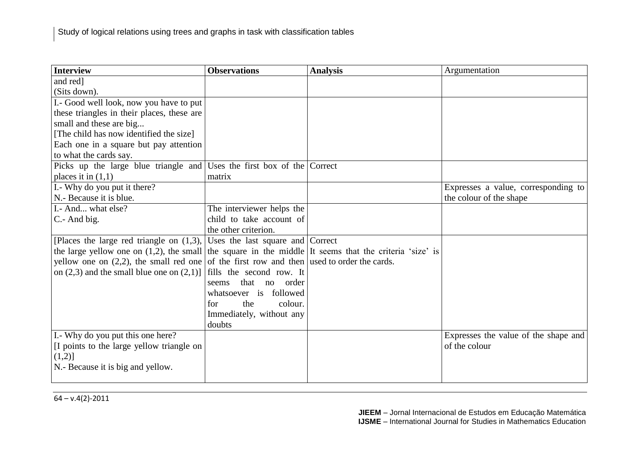| <b>Interview</b>                                                                                          | <b>Observations</b>               | <b>Analysis</b> | Argumentation                        |
|-----------------------------------------------------------------------------------------------------------|-----------------------------------|-----------------|--------------------------------------|
| and red]                                                                                                  |                                   |                 |                                      |
| (Sits down).                                                                                              |                                   |                 |                                      |
| I.- Good well look, now you have to put                                                                   |                                   |                 |                                      |
| these triangles in their places, these are                                                                |                                   |                 |                                      |
| small and these are big                                                                                   |                                   |                 |                                      |
| [The child has now identified the size]                                                                   |                                   |                 |                                      |
| Each one in a square but pay attention                                                                    |                                   |                 |                                      |
| to what the cards say.                                                                                    |                                   |                 |                                      |
| Picks up the large blue triangle and                                                                      | Uses the first box of the Correct |                 |                                      |
| places it in $(1,1)$                                                                                      | matrix                            |                 |                                      |
| I.- Why do you put it there?                                                                              |                                   |                 | Expresses a value, corresponding to  |
| N.- Because it is blue.                                                                                   |                                   |                 | the colour of the shape              |
| I.- And what else?                                                                                        | The interviewer helps the         |                 |                                      |
| C.- And big.                                                                                              | child to take account of          |                 |                                      |
|                                                                                                           | the other criterion.              |                 |                                      |
| [Places the large red triangle on $(1,3)$ ,                                                               | Uses the last square and Correct  |                 |                                      |
| the large yellow one on $(1,2)$ , the small the square in the middle It seems that the criteria 'size' is |                                   |                 |                                      |
| yellow one on $(2,2)$ , the small red one of the first row and then used to order the cards.              |                                   |                 |                                      |
| on $(2,3)$ and the small blue one on $(2,1)$ ]                                                            | fills the second row. It          |                 |                                      |
|                                                                                                           | that<br>no<br>order<br>seems      |                 |                                      |
|                                                                                                           | whatsoever is followed            |                 |                                      |
|                                                                                                           | for<br>the<br>colour.             |                 |                                      |
|                                                                                                           | Immediately, without any          |                 |                                      |
|                                                                                                           | doubts                            |                 |                                      |
| I.- Why do you put this one here?                                                                         |                                   |                 | Expresses the value of the shape and |
| [I points to the large yellow triangle on                                                                 |                                   |                 | of the colour                        |
| $(1,2)$ ]                                                                                                 |                                   |                 |                                      |
| N.- Because it is big and yellow.                                                                         |                                   |                 |                                      |
|                                                                                                           |                                   |                 |                                      |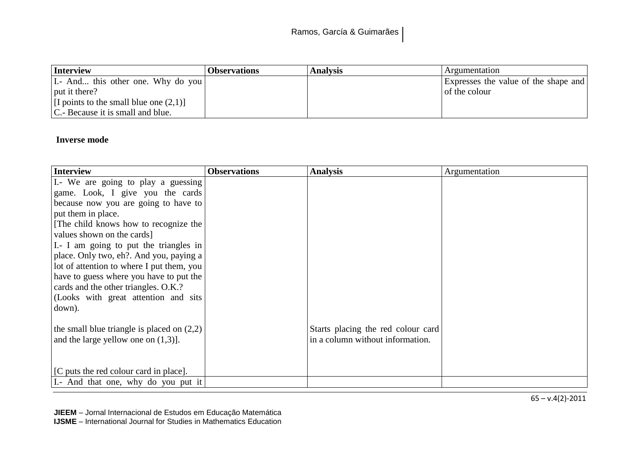| Interview                                 | <b>Observations</b> | <b>Analysis</b> | Argumentation                        |
|-------------------------------------------|---------------------|-----------------|--------------------------------------|
| I. And this other one. Why do you         |                     |                 | Expresses the value of the shape and |
| $\vert$ put it there?                     |                     |                 | of the colour                        |
| [I points to the small blue one $(2,1)$ ] |                     |                 |                                      |
| C.- Because it is small and blue.         |                     |                 |                                      |

## **Inverse mode**

| <b>Interview</b>                             | <b>Observations</b> | <b>Analysis</b>                    | Argumentation |
|----------------------------------------------|---------------------|------------------------------------|---------------|
| I.- We are going to play a guessing          |                     |                                    |               |
| game. Look, I give you the cards             |                     |                                    |               |
| because now you are going to have to         |                     |                                    |               |
| put them in place.                           |                     |                                    |               |
| The child knows how to recognize the         |                     |                                    |               |
| values shown on the cards]                   |                     |                                    |               |
| I.- I am going to put the triangles in       |                     |                                    |               |
| place. Only two, eh?. And you, paying a      |                     |                                    |               |
| lot of attention to where I put them, you    |                     |                                    |               |
| have to guess where you have to put the      |                     |                                    |               |
| cards and the other triangles. O.K.?         |                     |                                    |               |
| (Looks with great attention and sits         |                     |                                    |               |
| down).                                       |                     |                                    |               |
|                                              |                     |                                    |               |
| the small blue triangle is placed on $(2,2)$ |                     | Starts placing the red colour card |               |
| and the large yellow one on $(1,3)$ ].       |                     | in a column without information.   |               |
|                                              |                     |                                    |               |
|                                              |                     |                                    |               |
| [C puts the red colour card in place].       |                     |                                    |               |
| I.- And that one, why do you put it          |                     |                                    |               |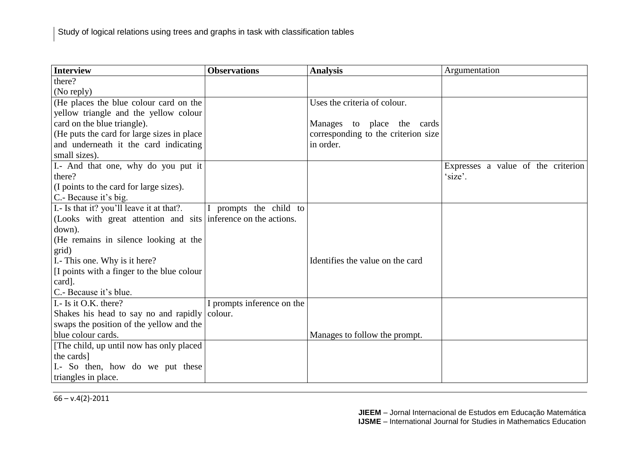| <b>Interview</b>                                               | <b>Observations</b>        | <b>Analysis</b>                     | Argumentation                      |
|----------------------------------------------------------------|----------------------------|-------------------------------------|------------------------------------|
| there?                                                         |                            |                                     |                                    |
| (No reply)                                                     |                            |                                     |                                    |
| (He places the blue colour card on the                         |                            | Uses the criteria of colour.        |                                    |
| yellow triangle and the yellow colour                          |                            |                                     |                                    |
| card on the blue triangle).                                    |                            | Manages to place the cards          |                                    |
| (He puts the card for large sizes in place)                    |                            | corresponding to the criterion size |                                    |
| and underneath it the card indicating                          |                            | in order.                           |                                    |
| small sizes).                                                  |                            |                                     |                                    |
| I.- And that one, why do you put it                            |                            |                                     | Expresses a value of the criterion |
| there?                                                         |                            |                                     | 'size'.                            |
| (I points to the card for large sizes).                        |                            |                                     |                                    |
| C.- Because it's big.                                          |                            |                                     |                                    |
| I.- Is that it? you'll leave it at that?.                      | I prompts the child to     |                                     |                                    |
| (Looks with great attention and sits inference on the actions. |                            |                                     |                                    |
| down).                                                         |                            |                                     |                                    |
| (He remains in silence looking at the                          |                            |                                     |                                    |
| grid)                                                          |                            |                                     |                                    |
| I.- This one. Why is it here?                                  |                            | Identifies the value on the card    |                                    |
| [I points with a finger to the blue colour]                    |                            |                                     |                                    |
| card].                                                         |                            |                                     |                                    |
| C.- Because it's blue.                                         |                            |                                     |                                    |
| I. - Is it O.K. there?                                         | I prompts inference on the |                                     |                                    |
| Shakes his head to say no and rapidly                          | colour.                    |                                     |                                    |
| swaps the position of the yellow and the                       |                            |                                     |                                    |
| blue colour cards.                                             |                            | Manages to follow the prompt.       |                                    |
| [The child, up until now has only placed]                      |                            |                                     |                                    |
| the cards]                                                     |                            |                                     |                                    |
| I.- So then, how do we put these                               |                            |                                     |                                    |
| triangles in place.                                            |                            |                                     |                                    |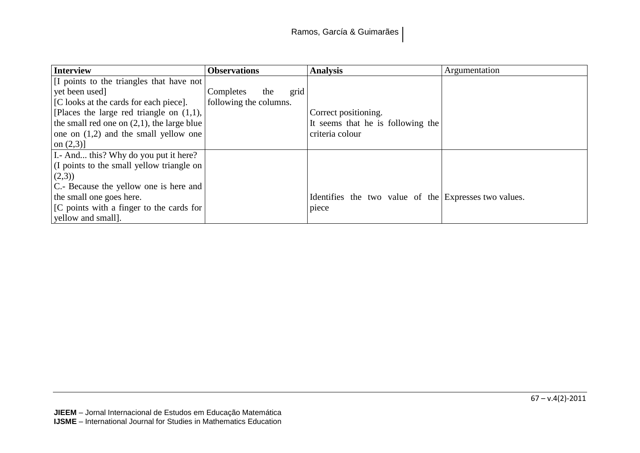| <b>Interview</b>                              | <b>Observations</b>      | <b>Analysis</b>                                       | Argumentation |
|-----------------------------------------------|--------------------------|-------------------------------------------------------|---------------|
| [I points to the triangles that have not]     |                          |                                                       |               |
| yet been used]                                | grid<br>Completes<br>the |                                                       |               |
| [C looks at the cards for each piece].        | following the columns.   |                                                       |               |
| [Places the large red triangle on $(1,1)$ ,   |                          | Correct positioning.                                  |               |
| the small red one on $(2,1)$ , the large blue |                          | It seems that he is following the                     |               |
| one on $(1,2)$ and the small yellow one       |                          | criteria colour                                       |               |
| on $(2,3)$ ]                                  |                          |                                                       |               |
| I. And this? Why do you put it here?          |                          |                                                       |               |
| (I points to the small yellow triangle on     |                          |                                                       |               |
| (2,3)                                         |                          |                                                       |               |
| C.- Because the yellow one is here and        |                          |                                                       |               |
| the small one goes here.                      |                          | Identifies the two value of the Expresses two values. |               |
| [C points with a finger to the cards for      |                          | piece                                                 |               |
| yellow and small].                            |                          |                                                       |               |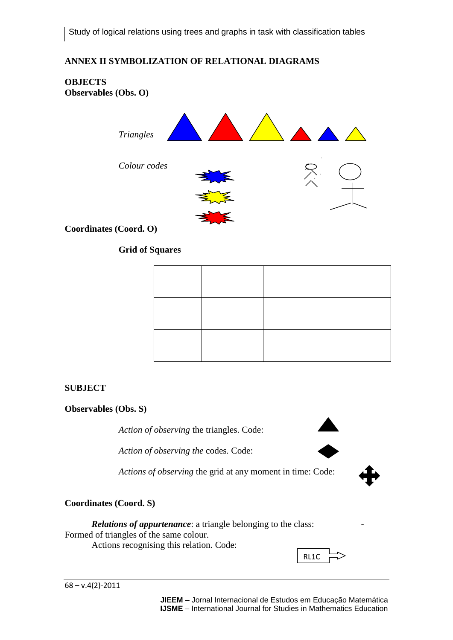## **ANNEX II SYMBOLIZATION OF RELATIONAL DIAGRAMS**

#### **OBJECTS Observables (Obs. O)**



**Coordinates (Coord. O)**

## **Grid of Squares**

#### **SUBJECT**

#### **Observables (Obs. S)**

*Action of observing* the triangles. Code:

*Action of observing the* codes*.* Code:

*Actions of observing* the grid at any moment in time: Code:

#### **Coordinates (Coord. S)**

*Relations of appurtenance*: a triangle belonging to the class: Formed of triangles of the same colour. Actions recognising this relation. Code:



**JIEEM** – Jornal Internacional de Estudos em Educação Matemática **IJSME** – International Journal for Studies in Mathematics Education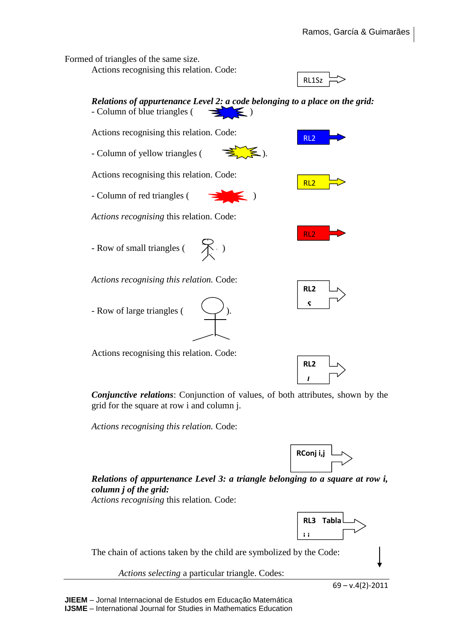Formed of triangles of the same size.

Actions recognising this relation. Code:





*Conjunctive relations*: Conjunction of values, of both attributes, shown by the grid for the square at row i and column j.

*Actions recognising this relation.* Code:



 *L*

*Relations of appurtenance Level 3: a triangle belonging to a square at row i, column j of the grid:*

*Actions recognising* this relation*.* Code:



The chain of actions taken by the child are symbolized by the Code:

*Actions selecting* a particular triangle. Codes: